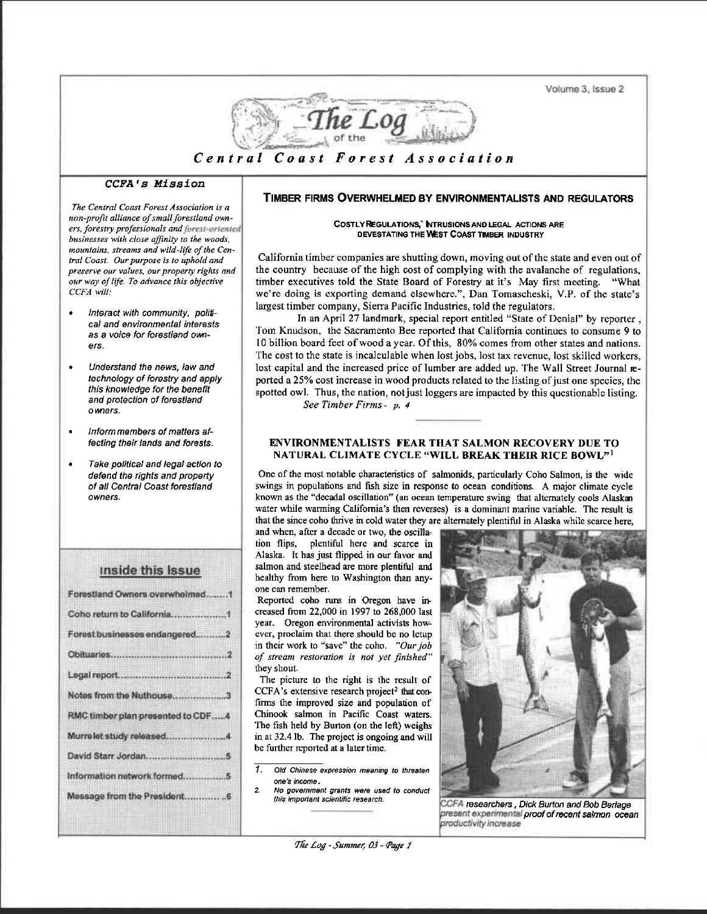Volume 3, Issue 2



#### CCFA's Mission

The Central Coast Forest Association is a non-profit alliance of small forestland owners, forestry professionals and forest-oriented businesses with close affinity to the woods. mountains, streams and wild-life of the Central Coast. Our purpose is to uphold and preserve our values, our property rights and our way of life. To advance this objective CCFA will:

- Interact with community, political and environmental interests as a voice for forestland owners.
- Understand the news, law and technology of forestry and apply this knowledge for the benefit and protection of forestland owners.
- Inform members of matters affecting their lands and forests.
- Take political and legal action to defend the rights and property of all Central Coast forestland owners.

| <b>Inside this Issue</b>          |
|-----------------------------------|
| Forestland Owners overwhelmed1    |
|                                   |
| Forest businesses endangered2     |
|                                   |
|                                   |
| Notes from the Nuthouse3          |
| RMC timber plan presented to CDF4 |
|                                   |
|                                   |
| Information network formed5       |
|                                   |
|                                   |

# TIMBER FIRMS OVERWHELMED BY ENVIRONMENTALISTS AND REGULATORS

#### COSTLY REGULATIONS, NTRUSIONS AND LEGAL ACTIONS ARE DEVESTATING THE WEST COAST TIMBER INDUSTRY

California timber companies are shutting down, moving out of the state and even out of the country because of the high cost of complying with the avalanche of regulations, timber executives told the State Board of Forestry at it's May first meeting. "What we're doing is exporting demand elsewhere.", Dan Tomascheski, V.P. of the state's largest timber company, Sierra Pacific Industries, told the regulators.

In an April 27 landmark, special report entitled "State of Denial" by reporter, Tom Knudson, the Sacramento Bee reported that California continues to consume 9 to 10 billion board feet of wood a year. Of this, 80% comes from other states and nations. The cost to the state is incalculable when lost jobs, lost tax revenue, lost skilled workers, lost capital and the increased price of lumber are added up. The Wall Street Journal reported a 25% cost increase in wood products related to the listing of just one species, the spotted owl. Thus, the nation, not just loggers are impacted by this questionable listing. See Timber Firms - p. 4

#### **ENVIRONMENTALISTS FEAR THAT SALMON RECOVERY DUE TO** NATURAL CLIMATE CYCLE "WILL BREAK THEIR RICE BOWL"<sup>1</sup>

One of the most notable characteristics of salmonids, particularly Coho Salmon, is the wide swings in populations and fish size in response to ocean conditions. A major climate cycle known as the "decadal oscillation" (an ocean temperature swing that alternately cools Alaskan water while warming California's then reverses) is a dominant marine variable. The result is that the since coho thrive in cold water they are alternately plentiful in Alaska while scarce here,

and when, after a decade or two, the oscillation flips, plentiful here and scarce in Alaska. It has just flipped in our favor and salmon and steelhead are more plentiful and healthy from here to Washington than anyone can remember.

Reported coho runs in Oregon have increased from 22,000 in 1997 to 268,000 last year. Oregon environmental activists however, proclaim that there should be no letup in their work to "save" the coho. "Our job of stream restoration is not yet finished" they shout.

The picture to the right is the result of CCFA's extensive research project<sup>2</sup> that confirms the improved size and population of Chinook salmon in Pacific Coast waters. The fish held by Burton (on the left) weighs in at 32.4 lb. The project is ongoing and will be further reported at a later time.

 $\overline{t}$ Old Chinese expression meaning to threaten one's income.

 $\overline{2}$ No government grants were used to conduct this important scientific research.



CCFA researchers, Dick Burton and Bob Berlage present experimental proof of recent salmon ocean productivity increase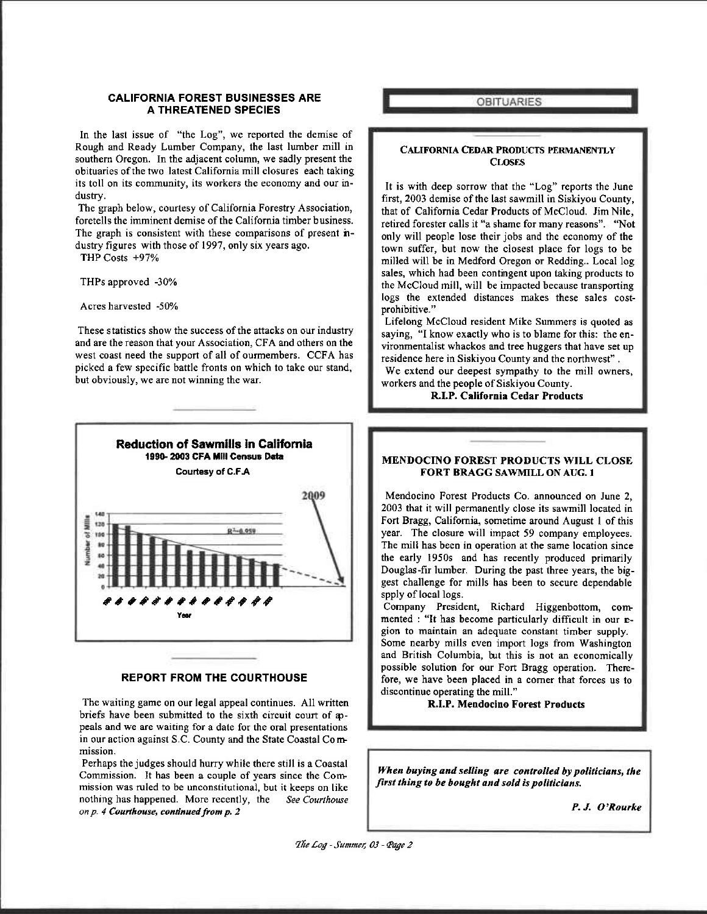#### CALIFORNIA FOREST BUSINESSES ARE A THREATENED SPEGIES

In the last issue of "the Log", we reported the demise of Rough and Ready Lumber Company, the last lumber mill in southern Oregon. In the adjacent column, we sadly present the obituaries of the two latest California mill closures each taking its toll on its community, its workers the economy and our industry.

The graph below, courtesy of California Forestry Association, foretells the imminent demise of the California timber business. The graph is consistent with these comparisons of present **n**dustry figures with those of 1997, only six years ago.

THP Costs +97%

THPS approved -30%

Acres harvested -50%

These statistics show the success of the attacks on our industry and are the reason that your Association, CFA and others on the west coast need the support of all of ourmembers. CCFA has picked a few specific battle fronts on which to take our stand, but obviously, we are not winning the war.



#### REPORT FROM THE COURTHOUSE

The waiting game on our legal appeal continues. All written briefs have been submitted to the sixth circuit court of appeals and we are waiting for a date for the oral presentations in our action against S.C. County and the State Coastal Commission.

Perhaps the judges should hurry while there still is a Coastal Commission. It has been a couple of years since the Commission was ruled to be unconstitutional, but it keeps on like nothing has happened. More recently, the See Courthouse on  $p$ . 4 Courthouse, continued from  $p$ . 2

**OBITUARIES** 

#### CALIFoRNIA CEDAR PRoDUCTS PERMANENTLY CLOSES.

It is with deep sorrow that the "Log" reports the June first, 2003 demise of the last sawmill in Siskiyou County, that of Califomia Cedar Products of McCloud. Jim Nile. retired forester calls it "a shame for many reasons". "Not only will people lose their jobs and the economy of the town suffer, but now the closest place for logs to be milled will be in Medford Oregon or Redding.. Local log sales, which had been contingent upon taking products to the McCloud mill, will be impacted because transporting logs the extended distances makes these sales costprohibitive."

Lifelong McCloud resident Mike Summers is quoted as saying, "I know exactly who is to blame for this: the envircnmentalist whackos and tree huggers that have set up residence here in Siskiyou County and the northwest" . We extend our deepest sympathy to the mill owners, workers and the people of Siskiyou County.

R.I.P. California Cedar Products

# MENDOCINO FOREST PRODUCTS WILL CLOSE FORT BRAGG SAWMILL ON AUG. I

Mendocino Forest Products Co. announced on June 2, 2003 that it will permanently close its sawmill located in Fort Bragg, Califomia, sometime around August I of this year. The closure will impact 59 company employees. The mill has been in operation at the same location since the early 1950s and has recently produced primarily Douglas-fir lumber. During the past three years, the biggest challenge for mills has been to secure dependable spply of local logs.

Company President, Richard Higgenbottom, commented : "It has become particularly difficult in our egion to maintain an adequate constant timber supply. Some nearby mills even import logs from Washington and British Columbia, but this is not an economically possible solution for our Fort Bragg operation. Therefore, we have been placed in a corner that forces us to discontinue operating the mill."

R.I.P. Mendocino Forest Products

When buying and selling are controlled by politicians, the first thing to be bought and sold is politicians.

P. J. O'Rourke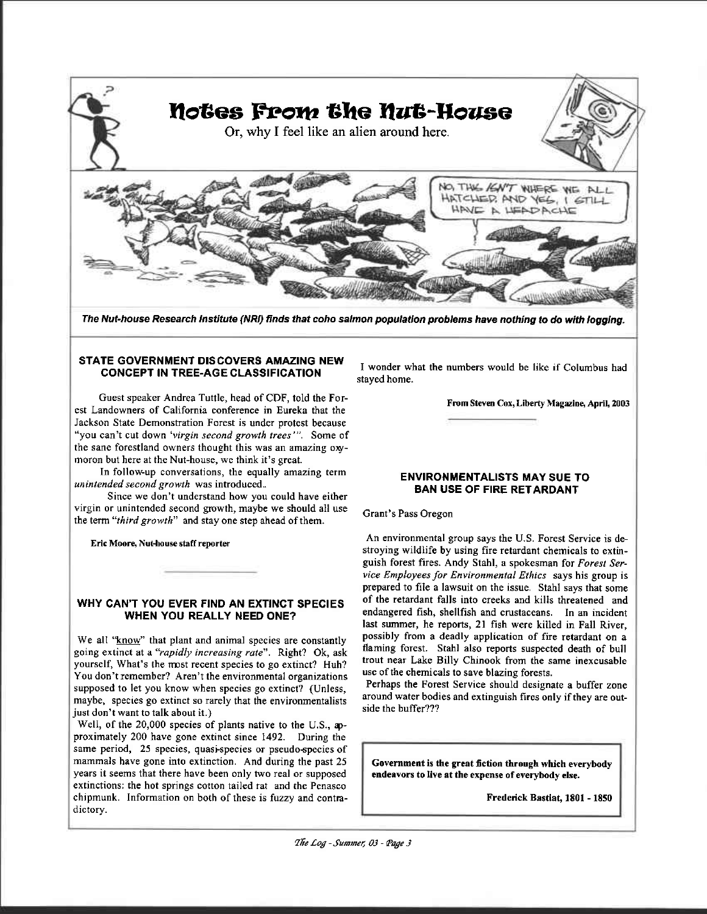

The Nut-house Research Institute (NRI) finds that coho salmon population problems have nothing to do with logging.

# STATE GOVERNMENT DISCOVERS AMAZING NEW CONCEPT IN TREE.AGE CLASSIFICATION

Guest speaker Andrea Tuttle, head of CDF, told the Forest Landowners of California conference in Eureka that the Jackson State Demonstration Forest is under protest because "you can't cut down 'virgin second growth trees'". Some of the sane forestland owners thought this was an amazing oxymoron but here at the Nut-house, we think it's great.

In follow.up conversations, the equally amazing term unintended second growth was introduced..

Since we don't understand how you could have either virgin or unintended second growth, maybe we should all use the term "third growth" and stay one step ahead of them.

Eric Moore, Nut-house staff reporter

# WHY CAN'T YOU EVER FIND AN EXTINCT SPECIES WHEN YOU REALLY NEED ONE?

We all "know" that plant and animal species are constantly going extinct at a "rapidly increasing rate". Right? Ok, ask yourself, What's the most recent species to go extinct? Huh? You don't remember? Aren't the environmental organizations supposed to let you know when species go extinct? (Unless, maybe, species go extinct so rarely that the environmentalists just don't want to talk abouf it.)

Well, of the 20,000 species of plants native to the U.S., approximately 200 have gone extinct since 1492. During the same period, 25 species, quasi-species or pseudo-species of mammals have gone into extinction. And during the past 25 years it seems that there have been only two real or supposed extinctions: the hot springs cotton tailed rat and the Penasco chipmunk. Information on both of these is fuzzy and contradictory.

I wonder what the numbers would be like if Columbus had stayed home.

From Steven Cox, Liberty Magazine, April, 2003

# ENVIRONMENTALISTS MAY SUE TO BAN USE OF FIRE RETARDANT

## Grant's Pass Oregon

An environmental group says the U.S. Forest Service is destroying wildlife by using fire retardant chemicals to extinguish forest fires. Andy Stahl, a spokesman for Forest Service Employees for Environmental Ethics says his group is prepared to file a lawsuit on the issue. Stahl says that some of the retardant falls into creeks and kills threatened and endangered fish, shellfish and crustaceans. In an incident last summer, he reports, 2l fish were killed in Fall River, possibly from a deadly application of fire retardant on a flaming forest. Stahl also reports suspected death of bull trout near Lake Billy Chinook from the same inexcusable use of the chemicals to save blazing forests.

Perhaps the Forest Service should designate a buffer zone around water bodies and extinguish fires only if they are outside the buffer???

Government is the great fiction through which everybody endeavors to live at the expense of everybody else.

Frederick Bastiat, 1801 - 1850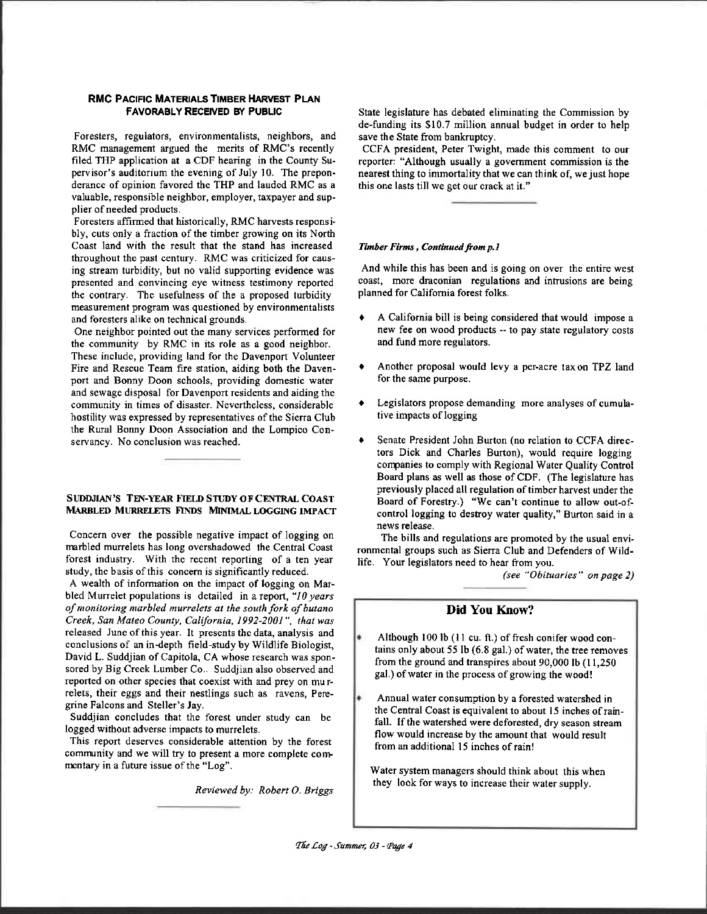#### RMC PACIFIC MATERIALS TIMBER HARVEST PLAN FAVORABLY RECENED BY PUBLIC

Foresters, regulators, environmentalists, neighbors, and RMC management argued the merits of RMC's recently filed THP application at a CDF hearing in the County Supervisor's auditorium the evening of July 10. The preponderance of opinion favored the THP and lauded RMC as a valuable, responsible neighbor, employer, taxpayer and supplier of needed products.

Foresters affirmed that historically, RMC harvests responsi bly, cuts only a fraction of the timber growing on its North Coast land with the result that the stand has increased throughout the past century. RMC was criticized for causing stream turbidity, but no valid supporting evidence was presented and convincing eye witness testimony reported the contrary. The usefulness of the a proposed twbidity measurement program was questioned by environmentalists and foresters alike on technical grounds.

One neighbor pointed out the many services performed for the community by RMC in its role as a good neighbor. These include, providing land for the Davenport Volunteer Fire and Rescue Team fire station, aiding both the Davenport and Bonny Doon schools, providing domestic water and sewage disposal for Davenport residents and aiding the community in times of disaster. Nevertheless, considerable hostility was expressed by representatives of the Sierra Club the Rural Bonny Doon Association and the Lompico Conservancy. No conclusion was reached.

#### SUDDJIAN'S TEN-YEAR FIELD STUDY OF CENTRAL COAST MARBLED MURRELETS FINDS MINIMAL LOGGING IMPACT

Concern over the possible negative impact of logging on marbled murrelets has long overshadowed the Central Coast forest industry. With the recent reporting of a ten year study, the basis of this concern is significantly reduced.

A wealth of information on the impact of logging on Marbled Murrelet populations is detailed in a report, " $10 years$ of monitoring marbled murelets at the south fork of butano Creek, San Mateo County, California, 1992-2001", that was released June of this year. It presents the data, analysis and conclusions of an in-depth field-study by Wildlife Biologist, David L. Suddjian of Capitola, CA whose research was sponsored by Big Creek Lumber Co.. Suddjian also observed and reported on other species that coexist with and prey on murrelets, their eggs and their nestlings such as ravens, Peregrine Falcons and Steller's Jay.

Suddjian concludes that the forest under study can be logged without adverse impacts to murelets.

This report deserves considerable attention by the forest comnunity and we will try to present a more complete corr mentary in a future issue of the "Log".

Reviewed by: Robert O. Briggs

State legislature has debated eliminating the Commission by de-funding its \$10.7 million annual budget in order to help save the State from bankruptcy.

CCFA president, Peter Twight, made this comment to our reporter: "Although usually a govemment commission is the nearest thing to immortality that we can think of, we just hope this one lasts till we get our crack at it."

#### Timber Firms, Continued from p.1

And while this has been and is going on over the entire west coast, more draconian regulations and intrusions are being planned for Califomia forest folks.

- r A California bill is being considered that would impose a new fee on wood products - to pay state regulatory costs and fund more regulators.
- t Another proposal would levy a per-acre taxon TPZ land for the same purpose.
- Legislators propose demanding more analyses of cumulative impacts of logging
- Senate President John Burton (no relation to CCFA directors Dick and Charles Buton), would require logging companies to comply with Regional Water Quality Control Board plans as well as those of CDF. (The legislature has previously placed all regulation of timber harvest under the Board of Forestry.) "We can't continue to allow out-ofcontrol logging to destroy water quality," Burton said in a news felease.

The bills and regulations are promoted by the usual environmental groups such as Sierra Club and Defenders of Wildlife. Your legislators need to hear from you.

(see "Obituaries" on page 2)

# Did You Know?

- Although 100 lb (11 cu. ft.) of fresh conifer wood contains only about 55 lb  $(6.8 \text{ gal.})$  of water, the tree removes from the ground and transpires about 90,000 lb (l 1,250 gal.) of water in the process of growing the wood!
- Annual water consumption by a forested watershed in the Central Coast is equivalent to about 15 inches of rainfall. If the watershed were deforested, dry season stream flow would increase by the amount that would result from an additional 15 inches of rain!

Water system managers should think about this when they look for ways to increase their water supply.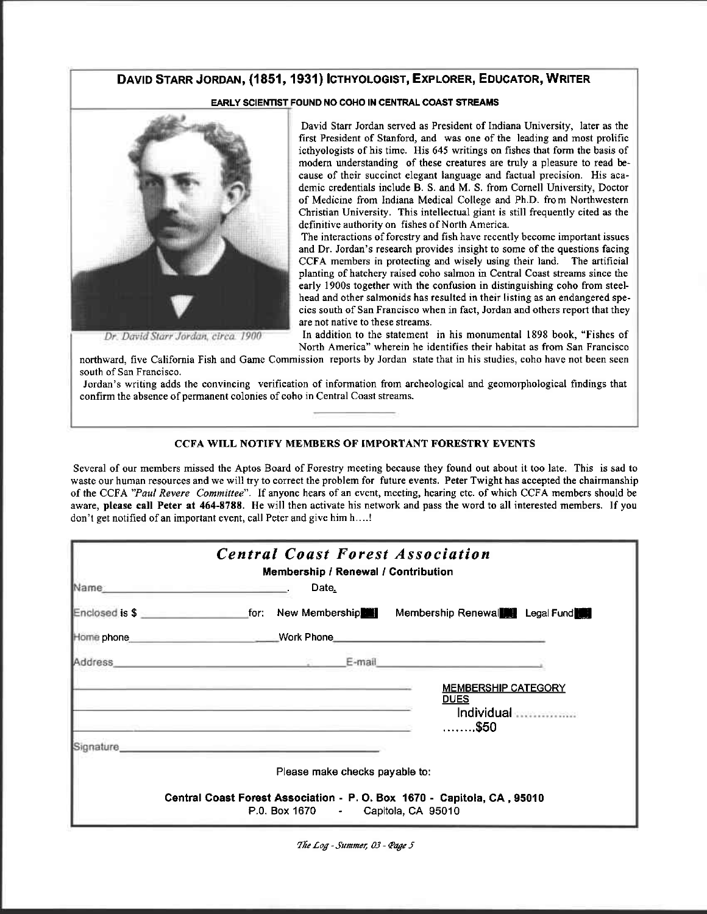# DAVID STARR JORDAN, (1851, 1931) ICTHYOLOGIST, EXPLORER, EDUCATOR, WRITER

## EARLY SCIENTIST FOUND NO COHO IN CENTRAL COAST STREAMS



Dr. David Starr Jordan, circa. 1900

David Starr Jordan served as President of Indiana University, later as the first President of Stanford, and was one of the leading and most prolific icthyologists of his time. His 645 writings on fishes that form the basis of modern understanding of these creatures are truly a pleasure to read because of their succinct elegant language and factual precision. His academic credentials include B. S. and M. S. from Cornell University, Doctor of Medicine from Indiana Medical College and Ph.D. from Northwestern Christian University. This intellectual giant is still frequently cited as the definitive authority on fishes of North America.

The interactions of forestry and fish have recently become important issues and Dr. Jordan's research provides insight to some of the questions facing CCFA members in protecting and wisely using their land. The artificial planting of hatchery raised coho salmon in Central Coast streams since the early 1900s together with the confusion in distinguishing coho from steelhead and other salmonids has resulted in their listing as an endangered species south of San Francisco when in fact, Jordan and others report that they are not native to these streams.

In addition to the statement in his monumental 1898 book, "Fishes of North America" wherein he identifies their habitat as from San Francisco

northward, five California Fish and Game Commission reports by Jordan state that in his studies, coho have not been seen south of San Francisco.

Jordan's writing adds the convincing verification of information from archeological and geomorphological findings that confirm the absence of permanent colonies of coho in Central Coast streams.

# **CCFA WILL NOTIFY MEMBERS OF IMPORTANT FORESTRY EVENTS**

Several of our members missed the Aptos Board of Forestry meeting because they found out about it too late. This is sad to waste our human resources and we will try to correct the problem for future events. Peter Twight has accepted the chairmanship of the CCFA "Paul Revere Committee". If anyone hears of an event, meeting, hearing etc. of which CCFA members should be aware, please call Peter at 464-8788. He will then activate his network and pass the word to all interested members. If you don't get notified of an important event, call Peter and give him h....!

| <b>Central Coast Forest Association</b><br><b>Membership / Renewal / Contribution</b>                                                                                                                                                                                                                                                    |
|------------------------------------------------------------------------------------------------------------------------------------------------------------------------------------------------------------------------------------------------------------------------------------------------------------------------------------------|
| Name: Name:<br>Date                                                                                                                                                                                                                                                                                                                      |
| Enclosed is \$ _____________________for: New Membership   Membership Renewal   Legal Fund                                                                                                                                                                                                                                                |
|                                                                                                                                                                                                                                                                                                                                          |
|                                                                                                                                                                                                                                                                                                                                          |
| <b>MEMBERSHIP CATEGORY</b><br><u>DUES</u><br>Individual <b>Automatic Street</b><br>$\ldots \ldots .550$<br>the control of the control of the control of the control of the control of the control of the control of the control of the control of the control of the control of the control of the control of the control of the control |
| Signature entertainment and the contract of the contract of the contract of the contract of the contract of the                                                                                                                                                                                                                          |
| Please make checks payable to:                                                                                                                                                                                                                                                                                                           |
| Central Coast Forest Association - P. O. Box 1670 - Capitola, CA, 95010<br>P.0. Box 1670 - Capitola, CA 95010                                                                                                                                                                                                                            |